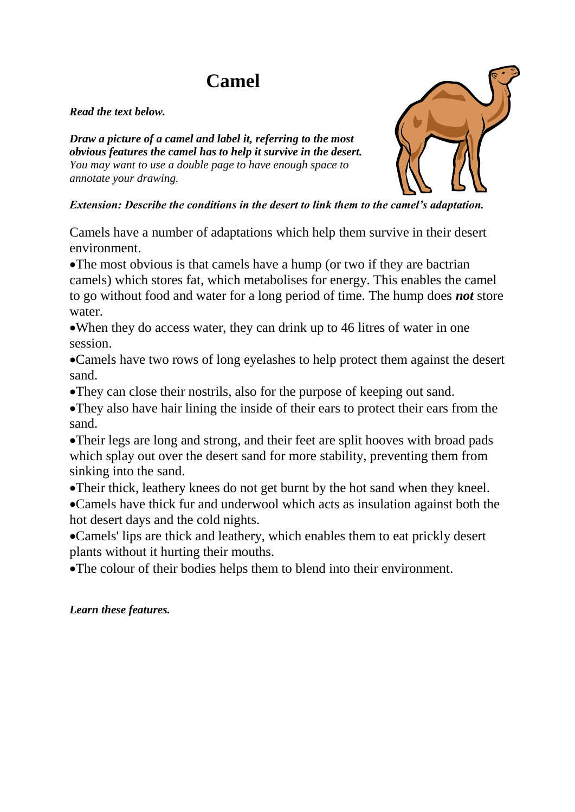# **Camel**

#### *Read the text below.*

*Draw a picture of a camel and label it, referring to the most obvious features the camel has to help it survive in the desert. You may want to use a double page to have enough space to annotate your drawing.*

### *Extension: Describe the conditions in the desert to link them to the camel's adaptation.*

Camels have a number of adaptations which help them survive in their desert environment.

The most obvious is that camels have a hump (or two if they are bactrian camels) which stores fat, which metabolises for energy. This enables the camel to go without food and water for a long period of time. The hump does *not* store water.

When they do access water, they can drink up to 46 litres of water in one session.

Camels have two rows of long eyelashes to help protect them against the desert sand.

They can close their nostrils, also for the purpose of keeping out sand.

They also have hair lining the inside of their ears to protect their ears from the sand.

Their legs are long and strong, and their feet are split hooves with broad pads which splay out over the desert sand for more stability, preventing them from sinking into the sand.

Their thick, leathery knees do not get burnt by the hot sand when they kneel. Camels have thick fur and underwool which acts as insulation against both the hot desert days and the cold nights.

Camels' lips are thick and leathery, which enables them to eat prickly desert plants without it hurting their mouths.

The colour of their bodies helps them to blend into their environment.

### *Learn these features.*